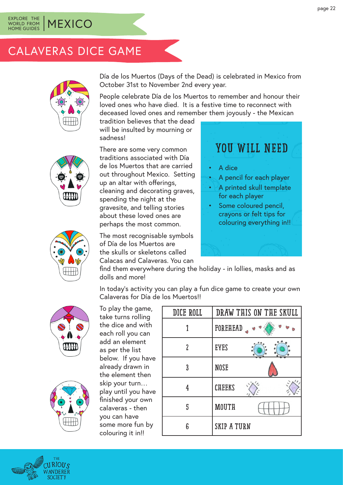#### EXPLORE THE WORLD FROM HOME GUIDES **MEXICO**

### CALAVERAS DICE GAME



Día de los Muertos (Days of the Dead) is celebrated in Mexico from October 31st to November 2nd every year.

People celebrate Día de los Muertos to remember and honour their loved ones who have died. It is a festive time to reconnect with deceased loved ones and remember them joyously - the Mexican

tradition believes that the dead will be insulted by mourning or sadness!

There are some very common traditions associated with Día de los Muertos that are carried out throughout Mexico. Setting up an altar with offerings, cleaning and decorating graves, spending the night at the gravesite, and telling stories about these loved ones are perhaps the most common.

The most recognisable symbols of Día de los Muertos are the skulls or skeletons called Calacas and Calaveras. You can

Calaveras for Día de los Muertos!!

## YOU WILL NEED

- A dice
- A pencil for each player
- A printed skull template for each player
- Some coloured pencil, crayons or felt tips for colouring everything in!!



find them everywhere during the holiday - in lollies, masks and as dolls and more!

In today's activity you can play a fun dice game to create your own





To play the game, take turns rolling the dice and with each roll you can add an element as per the list below. If you have already drawn in the element then skip your turn… play until you have finished your own calaveras - then you can have some more fun by colouring it in!!

| DICE ROLL | DRAW THIS ON THE SKULL |
|-----------|------------------------|
|           | FOREHEAD               |
| 2         | <b>EYES</b>            |
| 3         | <b>NOSE</b>            |
| 4         | <b>CHEEKS</b>          |
| 5         | <b>MOUTH</b>           |
| 6         | <b>SKIP A TURN</b>     |